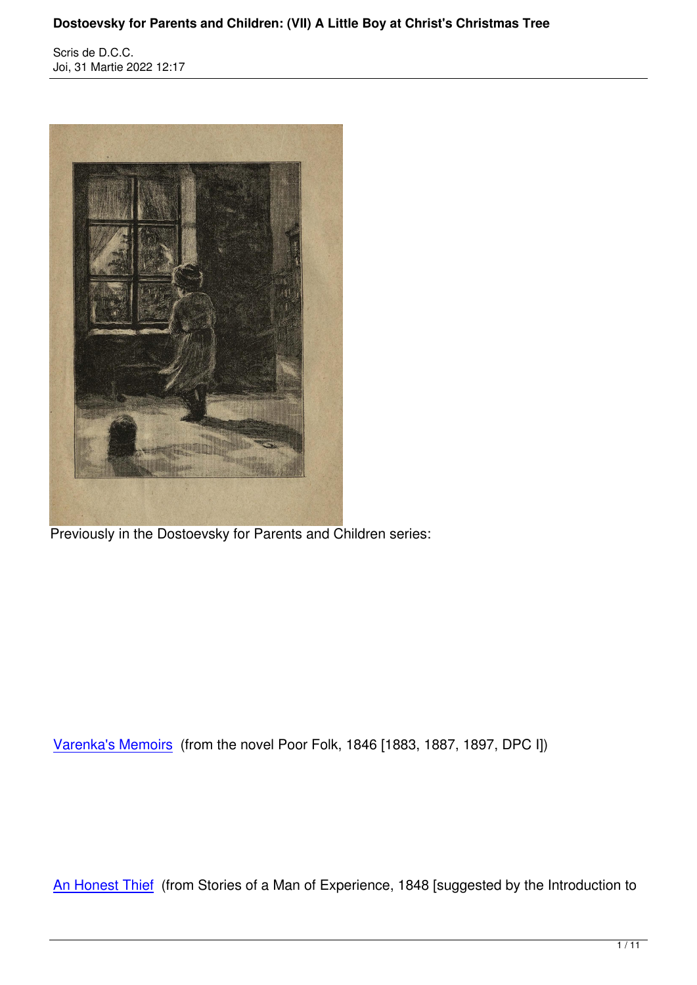

Previously in the Dostoevsky for Parents and Children series:

Varenka's Memoirs (from the novel Poor Folk, 1846 [1883, 1887, 1897, DPC I])

An Honest Thief (from Stories of a Man of Experience, 1848 [suggested by the Introduction to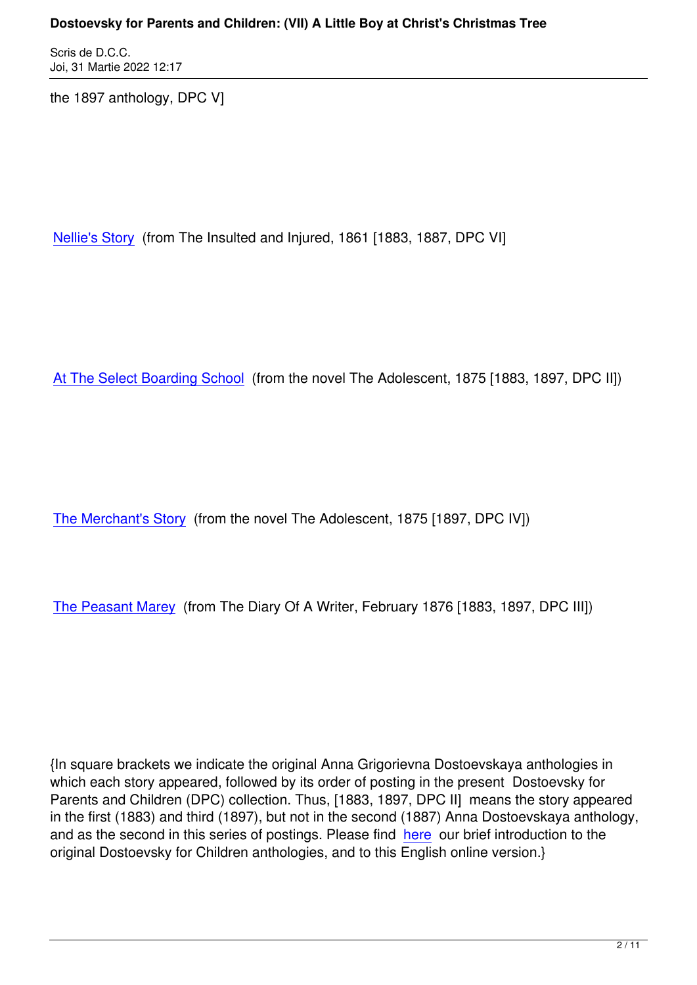the 1897 anthology, DPC V]

Nellie's Story (from The Insulted and Injured, 1861 [1883, 1887, DPC VI]

At The Select Boarding School (from the novel The Adolescent, 1875 [1883, 1897, DPC II])

The Merchant's Story (from the novel The Adolescent, 1875 [1897, DPC IV])

The Peasant Marey (from The Diary Of A Writer, February 1876 [1883, 1897, DPC III])

{In square brackets we indicate the original Anna Grigorievna Dostoevskaya anthologies in which each story appeared, followed by its order of posting in the present Dostoevsky for Parents and Children (DPC) collection. Thus, [1883, 1897, DPC II] means the story appeared in the first (1883) and third (1897), but not in the second (1887) Anna Dostoevskaya anthology, and as the second in this series of postings. Please find here our brief introduction to the original Dostoevsky for Children anthologies, and to this English online version.}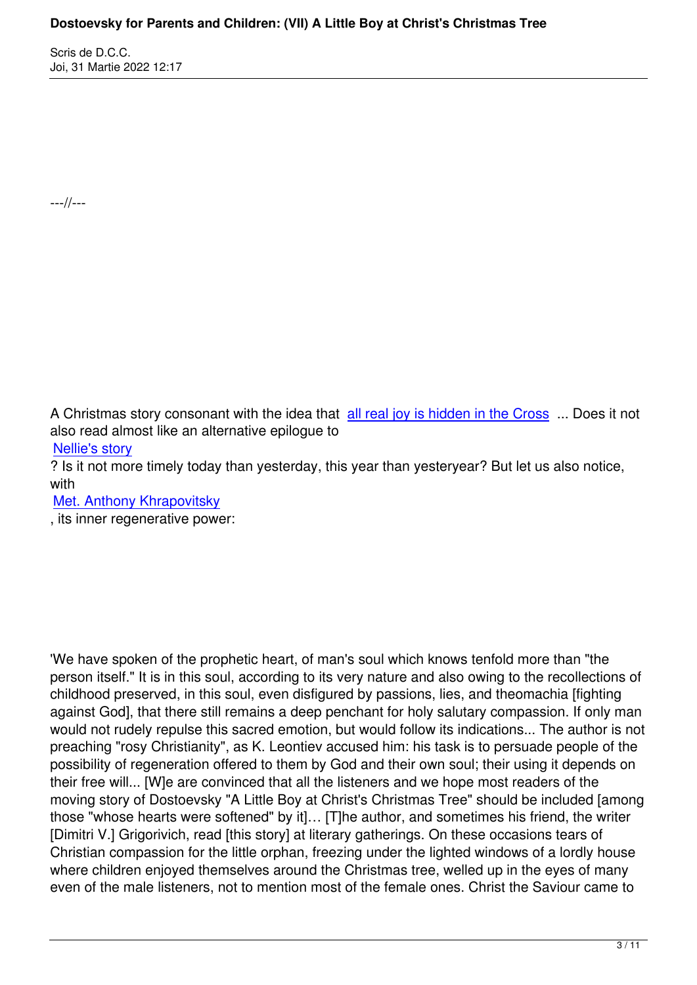---//---

A Christmas story consonant with the idea that all real joy is hidden in the Cross ... Does it not also read almost like an alternative epilogue to

Nellie's story

? Is it not more timely today than yesterday, this [year than yesteryear? But let us](#selection-97.332-97.393) also notice, with

[Met. Anthony](index.php/dostoievski/721-dostoevsky-for-parents-and-children-vi-nellies-story.html) Khrapovitsky

, its inner regenerative power:

'We have spoken of the prophetic heart, of man's soul which knows tenfold more than "the person itself." It is in this soul, according to its very nature and also owing to the recollections of childhood preserved, in this soul, even disfigured by passions, lies, and theomachia [fighting against God], that there still remains a deep penchant for holy salutary compassion. If only man would not rudely repulse this sacred emotion, but would follow its indications... The author is not preaching "rosy Christianity", as K. Leontiev accused him: his task is to persuade people of the possibility of regeneration offered to them by God and their own soul; their using it depends on their free will... [W]e are convinced that all the listeners and we hope most readers of the moving story of Dostoevsky "A Little Boy at Christ's Christmas Tree" should be included [among those "whose hearts were softened" by it]… [T]he author, and sometimes his friend, the writer [Dimitri V.] Grigorivich, read [this story] at literary gatherings. On these occasions tears of Christian compassion for the little orphan, freezing under the lighted windows of a lordly house where children enjoyed themselves around the Christmas tree, welled up in the eyes of many even of the male listeners, not to mention most of the female ones. Christ the Saviour came to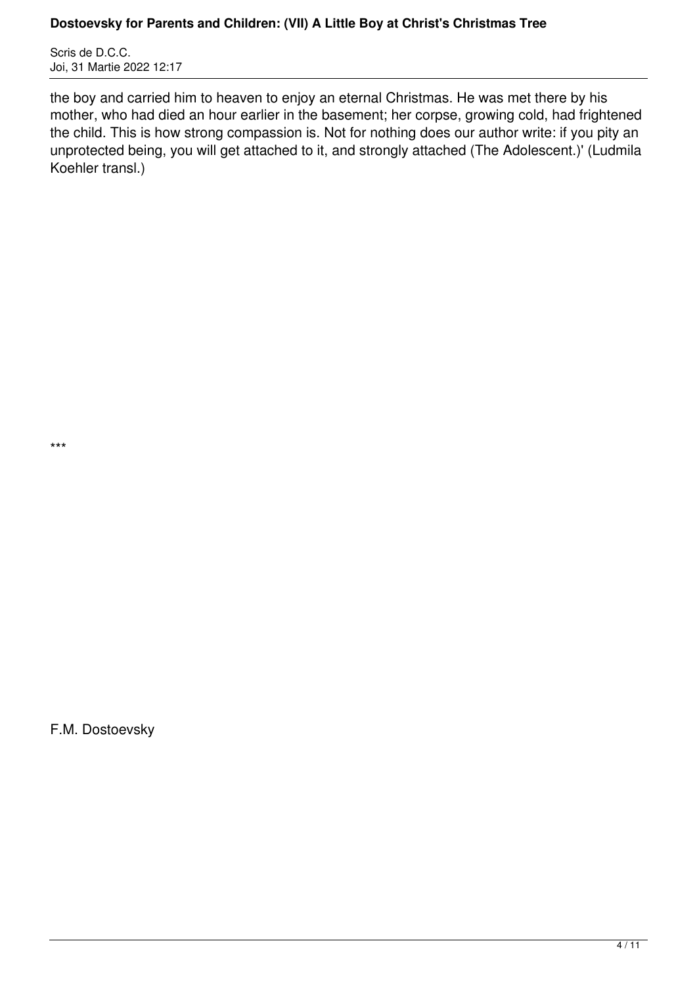the boy and carried him to heaven to enjoy an eternal Christmas. He was met there by his mother, who had died an hour earlier in the basement; her corpse, growing cold, had frightened the child. This is how strong compassion is. Not for nothing does our author write: if you pity an unprotected being, you will get attached to it, and strongly attached (The Adolescent.)' (Ludmila Koehler transl.)

\*\*\*

F.M. Dostoevsky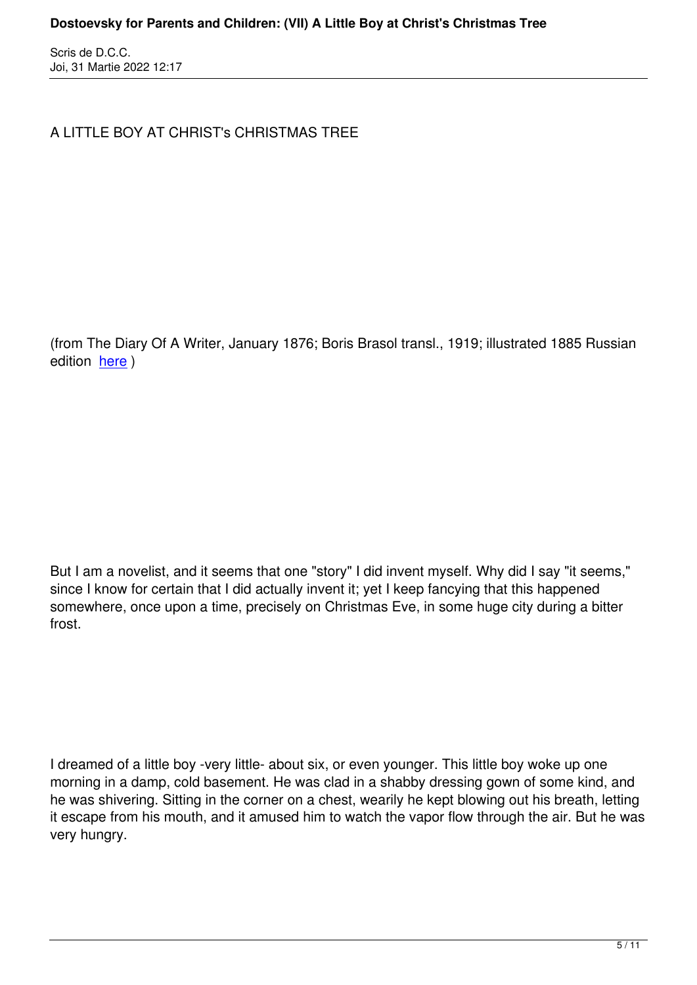A LITTLE BOY AT CHRIST's CHRISTMAS TREE

(from The Diary Of A Writer, January 1876; Boris Brasol transl., 1919; illustrated 1885 Russian edition here )

But I am a novelist, and it seems that one "story" I did invent myself. Why did I say "it seems," since I know for certain that I did actually invent it; yet I keep fancying that this happened somewhere, once upon a time, precisely on Christmas Eve, in some huge city during a bitter frost.

I dreamed of a little boy -very little- about six, or even younger. This little boy woke up one morning in a damp, cold basement. He was clad in a shabby dressing gown of some kind, and he was shivering. Sitting in the corner on a chest, wearily he kept blowing out his breath, letting it escape from his mouth, and it amused him to watch the vapor flow through the air. But he was very hungry.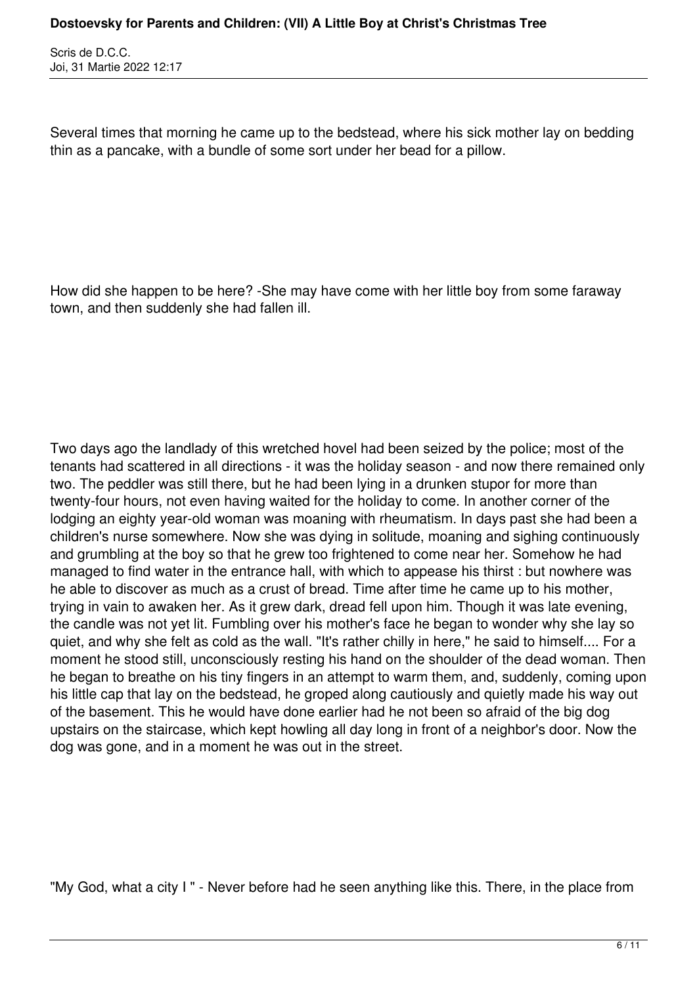Several times that morning he came up to the bedstead, where his sick mother lay on bedding thin as a pancake, with a bundle of some sort under her bead for a pillow.

How did she happen to be here? -She may have come with her little boy from some faraway town, and then suddenly she had fallen ill.

Two days ago the landlady of this wretched hovel had been seized by the police; most of the tenants had scattered in all directions - it was the holiday season - and now there remained only two. The peddler was still there, but he had been lying in a drunken stupor for more than twenty-four hours, not even having waited for the holiday to come. In another corner of the lodging an eighty year-old woman was moaning with rheumatism. In days past she had been a children's nurse somewhere. Now she was dying in solitude, moaning and sighing continuously and grumbling at the boy so that he grew too frightened to come near her. Somehow he had managed to find water in the entrance hall, with which to appease his thirst : but nowhere was he able to discover as much as a crust of bread. Time after time he came up to his mother, trying in vain to awaken her. As it grew dark, dread fell upon him. Though it was late evening, the candle was not yet lit. Fumbling over his mother's face he began to wonder why she lay so quiet, and why she felt as cold as the wall. "It's rather chilly in here," he said to himself.... For a moment he stood still, unconsciously resting his hand on the shoulder of the dead woman. Then he began to breathe on his tiny fingers in an attempt to warm them, and, suddenly, coming upon his little cap that lay on the bedstead, he groped along cautiously and quietly made his way out of the basement. This he would have done earlier had he not been so afraid of the big dog upstairs on the staircase, which kept howling all day long in front of a neighbor's door. Now the dog was gone, and in a moment he was out in the street.

"My God, what a city I " - Never before had he seen anything like this. There, in the place from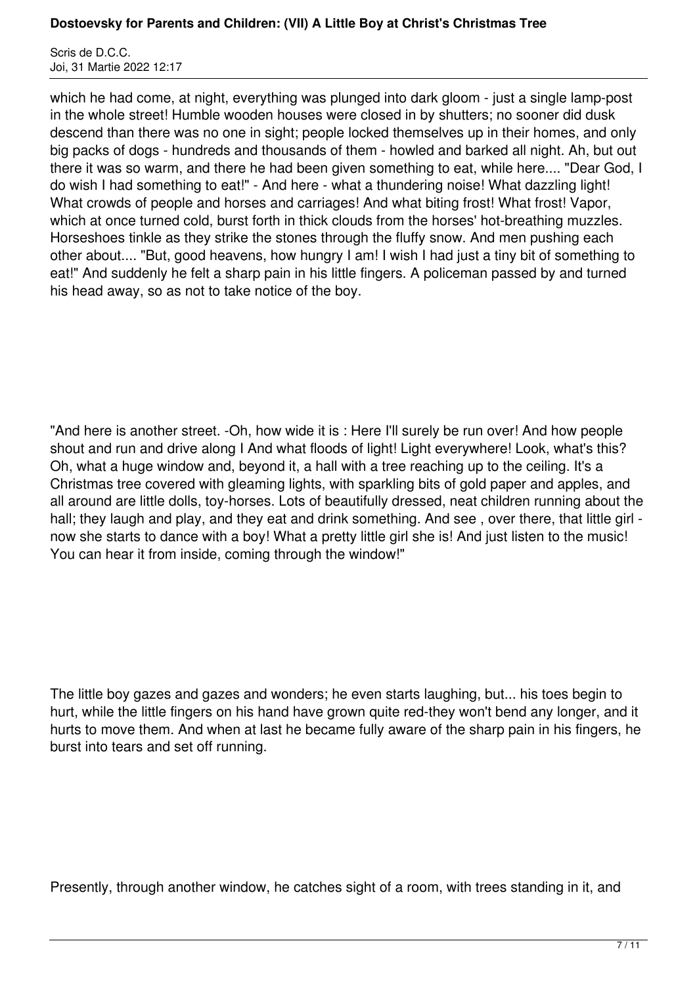## **Dostoevsky for Parents and Children: (VII) A Little Boy at Christ's Christmas Tree**

Scris de D.C.C. Joi, 31 Martie 2022 12:17

which he had come, at night, everything was plunged into dark gloom - just a single lamp-post in the whole street! Humble wooden houses were closed in by shutters; no sooner did dusk descend than there was no one in sight; people locked themselves up in their homes, and only big packs of dogs - hundreds and thousands of them - howled and barked all night. Ah, but out there it was so warm, and there he had been given something to eat, while here.... "Dear God, I do wish I had something to eat!" - And here - what a thundering noise! What dazzling light! What crowds of people and horses and carriages! And what biting frost! What frost! Vapor, which at once turned cold, burst forth in thick clouds from the horses' hot-breathing muzzles. Horseshoes tinkle as they strike the stones through the fluffy snow. And men pushing each other about.... "But, good heavens, how hungry I am! I wish I had just a tiny bit of something to eat!" And suddenly he felt a sharp pain in his little fingers. A policeman passed by and turned his head away, so as not to take notice of the boy.

"And here is another street. -Oh, how wide it is : Here I'll surely be run over! And how people shout and run and drive along I And what floods of light! Light everywhere! Look, what's this? Oh, what a huge window and, beyond it, a hall with a tree reaching up to the ceiling. It's a Christmas tree covered with gleaming lights, with sparkling bits of gold paper and apples, and all around are little dolls, toy-horses. Lots of beautifully dressed, neat children running about the hall; they laugh and play, and they eat and drink something. And see, over there, that little girl now she starts to dance with a boy! What a pretty little girl she is! And just listen to the music! You can hear it from inside, coming through the window!"

The little boy gazes and gazes and wonders; he even starts laughing, but... his toes begin to hurt, while the little fingers on his hand have grown quite red-they won't bend any longer, and it hurts to move them. And when at last he became fully aware of the sharp pain in his fingers, he burst into tears and set off running.

Presently, through another window, he catches sight of a room, with trees standing in it, and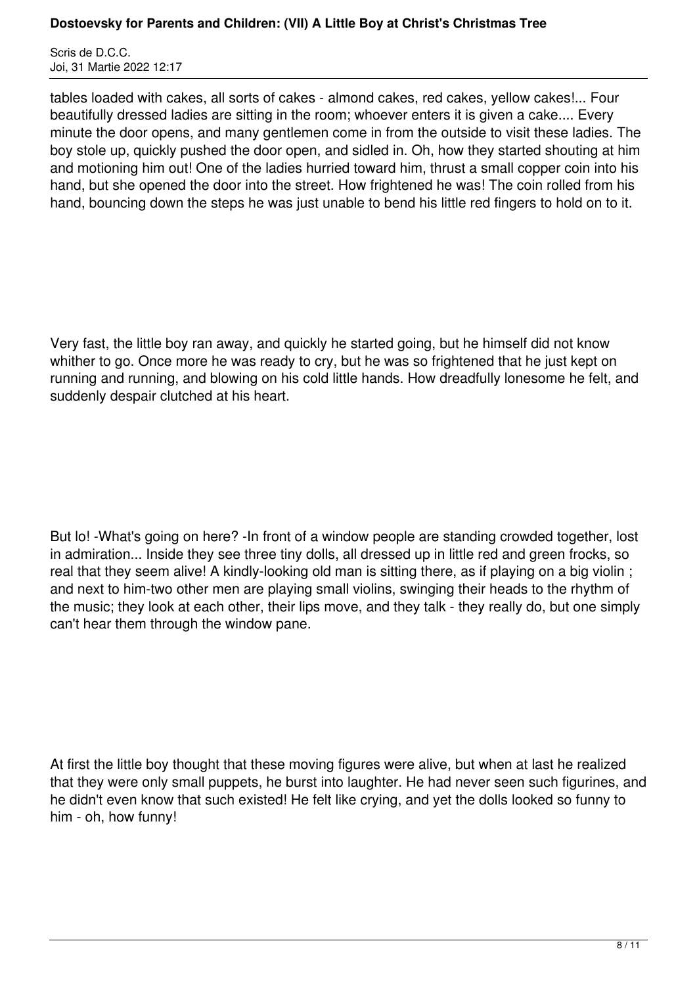tables loaded with cakes, all sorts of cakes - almond cakes, red cakes, yellow cakes!... Four beautifully dressed ladies are sitting in the room; whoever enters it is given a cake.... Every minute the door opens, and many gentlemen come in from the outside to visit these ladies. The boy stole up, quickly pushed the door open, and sidled in. Oh, how they started shouting at him and motioning him out! One of the ladies hurried toward him, thrust a small copper coin into his hand, but she opened the door into the street. How frightened he was! The coin rolled from his hand, bouncing down the steps he was just unable to bend his little red fingers to hold on to it.

Very fast, the little boy ran away, and quickly he started going, but he himself did not know whither to go. Once more he was ready to cry, but he was so frightened that he just kept on running and running, and blowing on his cold little hands. How dreadfully lonesome he felt, and suddenly despair clutched at his heart.

But lo! -What's going on here? -In front of a window people are standing crowded together, lost in admiration... Inside they see three tiny dolls, all dressed up in little red and green frocks, so real that they seem alive! A kindly-looking old man is sitting there, as if playing on a big violin ; and next to him-two other men are playing small violins, swinging their heads to the rhythm of the music; they look at each other, their lips move, and they talk - they really do, but one simply can't hear them through the window pane.

At first the little boy thought that these moving figures were alive, but when at last he realized that they were only small puppets, he burst into laughter. He had never seen such figurines, and he didn't even know that such existed! He felt like crying, and yet the dolls looked so funny to him - oh, how funny!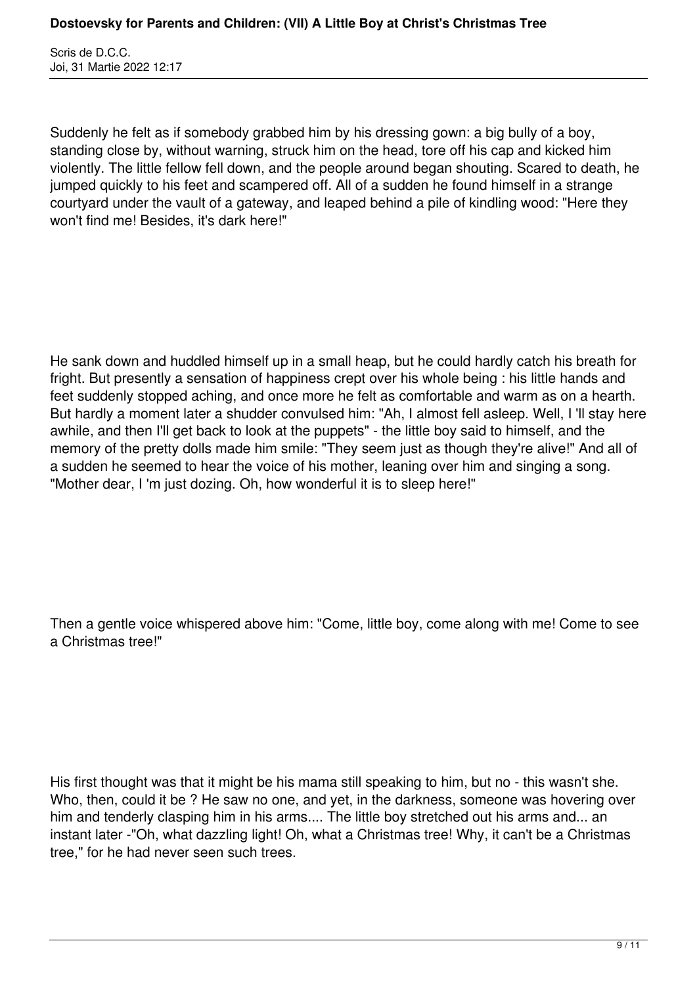Suddenly he felt as if somebody grabbed him by his dressing gown: a big bully of a boy, standing close by, without warning, struck him on the head, tore off his cap and kicked him violently. The little fellow fell down, and the people around began shouting. Scared to death, he jumped quickly to his feet and scampered off. All of a sudden he found himself in a strange courtyard under the vault of a gateway, and leaped behind a pile of kindling wood: "Here they won't find me! Besides, it's dark here!"

He sank down and huddled himself up in a small heap, but he could hardly catch his breath for fright. But presently a sensation of happiness crept over his whole being : his little hands and feet suddenly stopped aching, and once more he felt as comfortable and warm as on a hearth. But hardly a moment later a shudder convulsed him: "Ah, I almost fell asleep. Well, I 'll stay here awhile, and then I'll get back to look at the puppets" - the little boy said to himself, and the memory of the pretty dolls made him smile: "They seem just as though they're alive!" And all of a sudden he seemed to hear the voice of his mother, leaning over him and singing a song. "Mother dear, I 'm just dozing. Oh, how wonderful it is to sleep here!"

Then a gentle voice whispered above him: "Come, little boy, come along with me! Come to see a Christmas tree!"

His first thought was that it might be his mama still speaking to him, but no - this wasn't she. Who, then, could it be ? He saw no one, and yet, in the darkness, someone was hovering over him and tenderly clasping him in his arms.... The little boy stretched out his arms and... an instant later -"Oh, what dazzling light! Oh, what a Christmas tree! Why, it can't be a Christmas tree," for he had never seen such trees.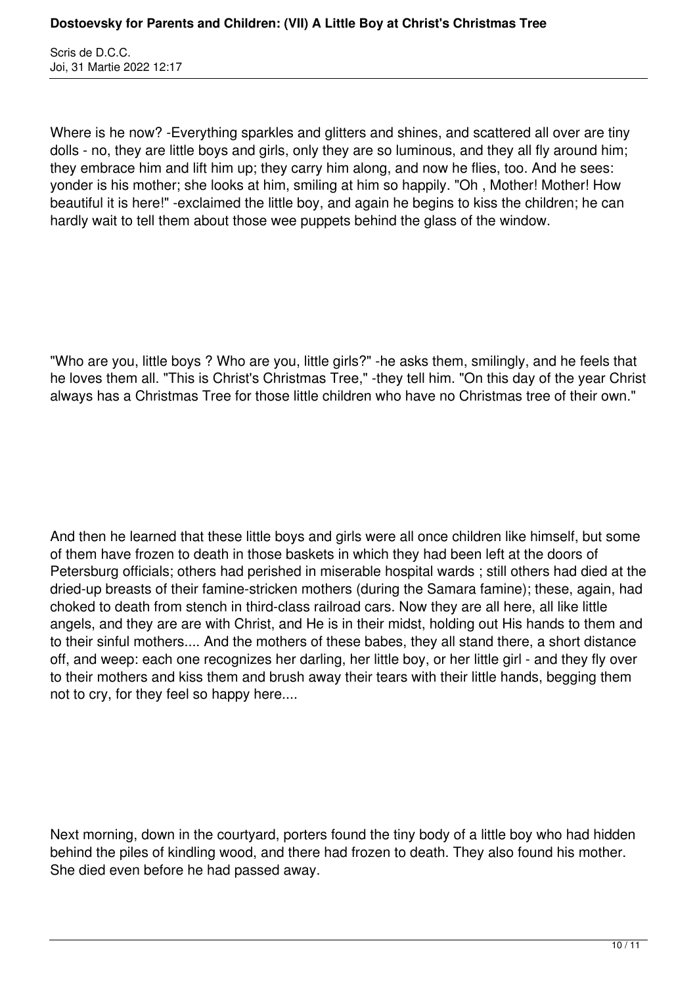Where is he now? -Everything sparkles and glitters and shines, and scattered all over are tiny dolls - no, they are little boys and girls, only they are so luminous, and they all fly around him; they embrace him and lift him up; they carry him along, and now he flies, too. And he sees: yonder is his mother; she looks at him, smiling at him so happily. "Oh , Mother! Mother! How beautiful it is here!" -exclaimed the little boy, and again he begins to kiss the children; he can hardly wait to tell them about those wee puppets behind the glass of the window.

"Who are you, little boys ? Who are you, little girls?" -he asks them, smilingly, and he feels that he loves them all. "This is Christ's Christmas Tree," -they tell him. "On this day of the year Christ always has a Christmas Tree for those little children who have no Christmas tree of their own."

And then he learned that these little boys and girls were all once children like himself, but some of them have frozen to death in those baskets in which they had been left at the doors of Petersburg officials; others had perished in miserable hospital wards ; still others had died at the dried-up breasts of their famine-stricken mothers (during the Samara famine); these, again, had choked to death from stench in third-class railroad cars. Now they are all here, all like little angels, and they are are with Christ, and He is in their midst, holding out His hands to them and to their sinful mothers.... And the mothers of these babes, they all stand there, a short distance off, and weep: each one recognizes her darling, her little boy, or her little girl - and they fly over to their mothers and kiss them and brush away their tears with their little hands, begging them not to cry, for they feel so happy here....

Next morning, down in the courtyard, porters found the tiny body of a little boy who had hidden behind the piles of kindling wood, and there had frozen to death. They also found his mother. She died even before he had passed away.